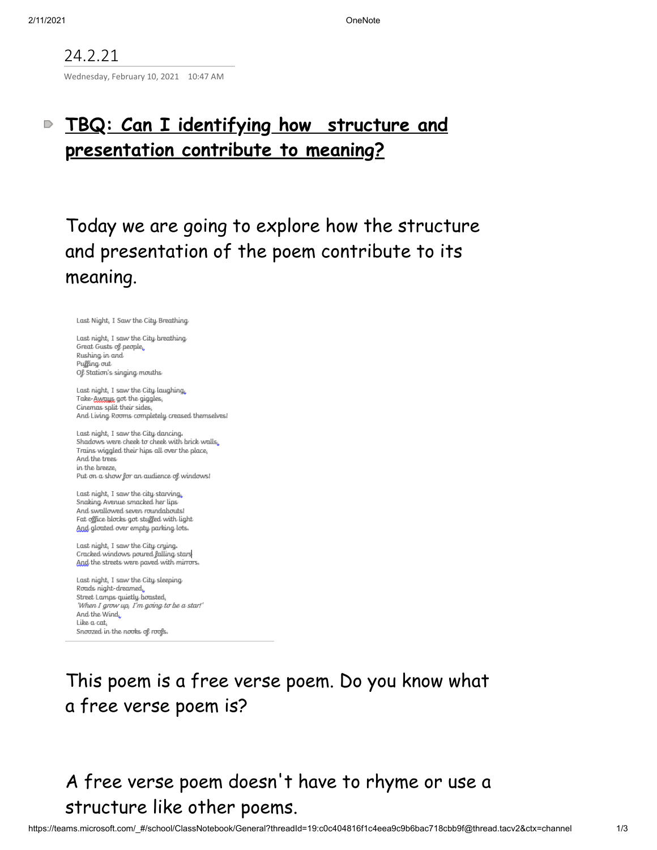### 24.2.21

Wednesday, February 10, 2021 10:47 AM

#### **TBQ: Can I identifying how structure and**  $\mathbin{\supset}$ **presentation contribute to meaning?**

Today we are going to explore how the structure and presentation of the poem contribute to its meaning.

Last Night, I Saw the City Breathing

Last night, I saw the City breathing Great Gusts of people, Rushing in and Puffing out Of Station's singing mouths

Last night, I saw the City laughing, Take-Aways, got the giggles, Cinemas split their sides And Living Rooms completely creased themselves!

Last night, I saw the City dancing. Shadows were cheek to cheek with brick walls, Trains wiggled their hips all over the place, And the trees in the breeze. Put on a show for an audience of windows!

Last night, I saw the city starving, Snaking Avenue smacked her lips And swallowed seven roundabouts! Fat office blocks got stuffed with light And gloated over empty parking lots.

Last night, I saw the City crying. Cracked windows poured falling stars And the streets were paved with mirrors.

Last night, I saw the City sleeping Roads night-dreamed. Street Lamps quietly boasted, 'When I grow up, I'm going to be a star!' And the Wind Like a cat, Snoozed in the nooks of roofs.

## This poem is a free verse poem. Do you know what a free verse poem is?

# A free verse poem doesn 't have to rhyme or use a structure like other poems.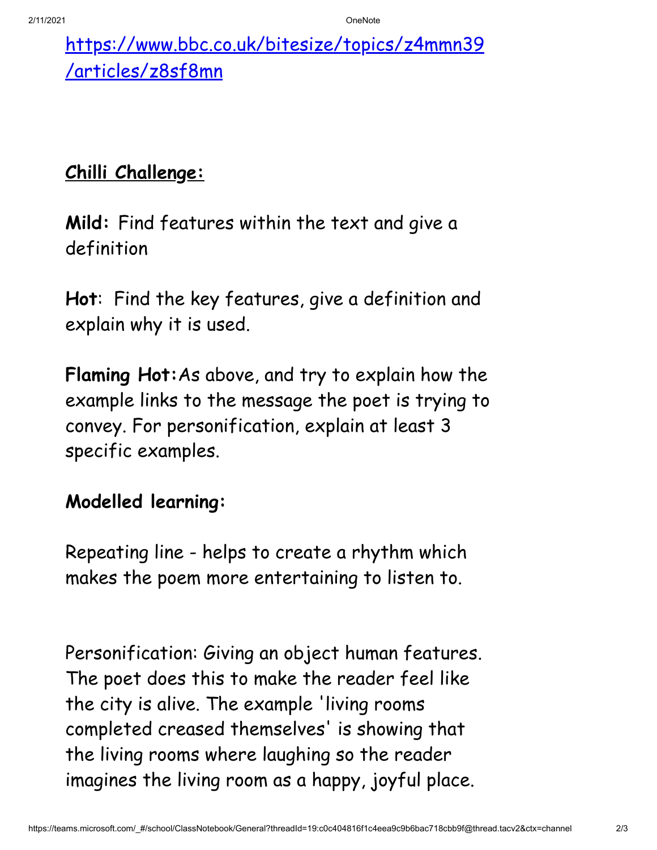[https://www.bbc.co.uk/bitesize/topics/z4mmn39](https://www.bbc.co.uk/bitesize/topics/z4mmn39/articles/z8sf8mn) /articles/z8sf8mn

# **Chilli Challenge:**

**Mild:** Find features within the text and give a definition

**Hot**: Find the key features, give a definition and explain why it is used.

**Flaming Hot:**As above, and try to explain how the example links to the message the poet is trying to convey. For personification, explain at least 3 specific examples.

### **Modelled learning:**

Repeating line - helps to create a rhythm which makes the poem more entertaining to listen to.

Personification: Giving an object human features. The poet does this to make the reader feel like the city is alive. The example 'living rooms completed creased themselves' is showing that the living rooms where laughing so the reader imagines the living room as a happy, joyful place.